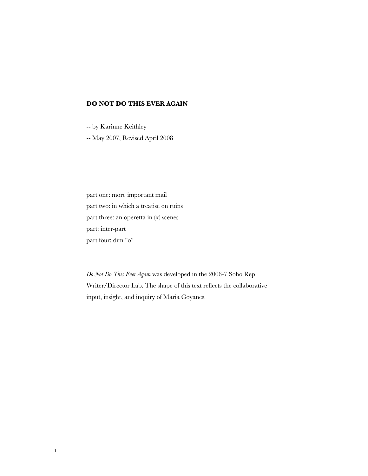## **DO NOT DO THIS EVER AGAIN**

-- by Karinne Keithley

-- May 2007, Revised April 2008

part one: more important mail part two: in which a treatise on ruins part three: an operetta in (x) scenes part: inter-part part four: dim "o"

*Do Not Do This Ever Again* was developed in the 2006-7 Soho Rep Writer/Director Lab. The shape of this text reflects the collaborative input, insight, and inquiry of Maria Goyanes.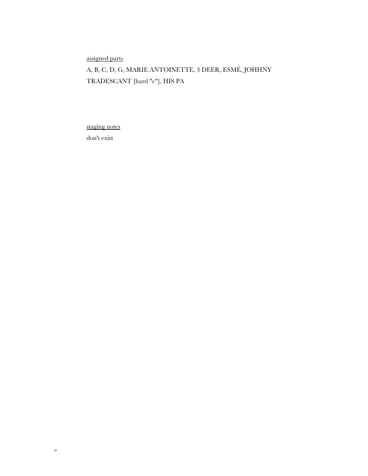assigned parts

A, B, C, D, G, MARIE ANTOINETTE, 3 DEER, ESMÉ, JOHHNY TRADESCANT [hard "c"], HIS PA

staging notes

don't exist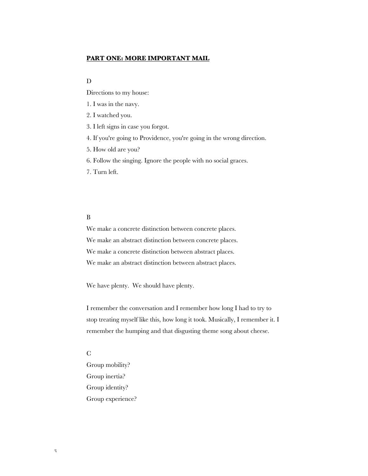### **PART ONE: MORE IMPORTANT MAIL**

#### D

Directions to my house:

1. I was in the navy.

2. I watched you.

3. I left signs in case you forgot.

4. If you're going to Providence, you're going in the wrong direction.

5. How old are you?

6. Follow the singing. Ignore the people with no social graces.

7. Turn left.

#### B

We make a concrete distinction between concrete places. We make an abstract distinction between concrete places. We make a concrete distinction between abstract places. We make an abstract distinction between abstract places.

We have plenty. We should have plenty.

I remember the conversation and I remember how long I had to try to stop treating myself like this, how long it took. Musically, I remember it. I remember the humping and that disgusting theme song about cheese.

#### C

Group mobility? Group inertia? Group identity? Group experience?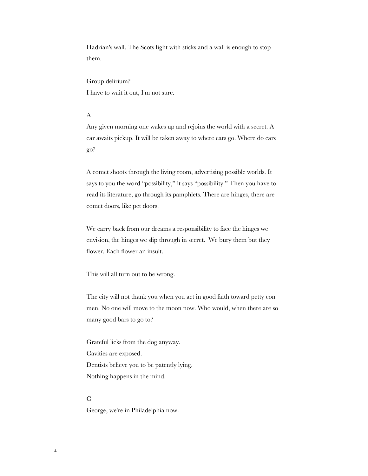Hadrian's wall. The Scots fight with sticks and a wall is enough to stop them.

Group delirium? I have to wait it out, I'm not sure.

#### A

Any given morning one wakes up and rejoins the world with a secret. A car awaits pickup. It will be taken away to where cars go. Where do cars go?

A comet shoots through the living room, advertising possible worlds. It says to you the word "possibility," it says "possibility." Then you have to read its literature, go through its pamphlets. There are hinges, there are comet doors, like pet doors.

We carry back from our dreams a responsibility to face the hinges we envision, the hinges we slip through in secret. We bury them but they flower. Each flower an insult.

This will all turn out to be wrong.

The city will not thank you when you act in good faith toward petty con men. No one will move to the moon now. Who would, when there are so many good bars to go to?

Grateful licks from the dog anyway. Cavities are exposed. Dentists believe you to be patently lying. Nothing happens in the mind.

#### $\mathcal{C}$

George, we're in Philadelphia now.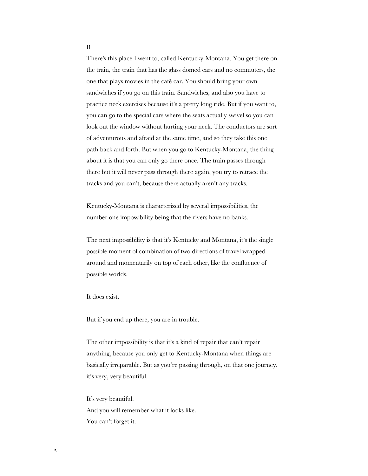There's this place I went to, called Kentucky-Montana. You get there on the train, the train that has the glass domed cars and no commuters, the one that plays movies in the café car. You should bring your own sandwiches if you go on this train. Sandwiches, and also you have to practice neck exercises because it's a pretty long ride. But if you want to, you can go to the special cars where the seats actually swivel so you can look out the window without hurting your neck. The conductors are sort of adventurous and afraid at the same time, and so they take this one path back and forth. But when you go to Kentucky-Montana, the thing about it is that you can only go there once. The train passes through there but it will never pass through there again, you try to retrace the tracks and you can't, because there actually aren't any tracks.

Kentucky-Montana is characterized by several impossibilities, the number one impossibility being that the rivers have no banks.

The next impossibility is that it's Kentucky and Montana, it's the single possible moment of combination of two directions of travel wrapped around and momentarily on top of each other, like the confluence of possible worlds.

It does exist.

But if you end up there, you are in trouble.

The other impossibility is that it's a kind of repair that can't repair anything, because you only get to Kentucky-Montana when things are basically irreparable. But as you're passing through, on that one journey, it's very, very beautiful.

It's very beautiful. And you will remember what it looks like. You can't forget it.

#### B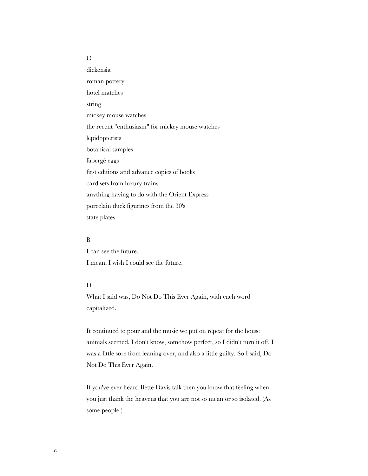## C

dickensia roman pottery hotel matches string mickey mouse watches the recent "enthusiasm" for mickey mouse watches lepidopterists botanical samples fabergé eggs first editions and advance copies of books card sets from luxury trains anything having to do with the Orient Express porcelain duck figurines from the 30's state plates

### B

I can see the future. I mean, I wish I could see the future.

### D

What I said was, Do Not Do This Ever Again, with each word capitalized.

It continued to pour and the music we put on repeat for the house animals seemed, I don't know, somehow perfect, so I didn't turn it off. I was a little sore from leaning over, and also a little guilty. So I said, Do Not Do This Ever Again.

If you've ever heard Bette Davis talk then you know that feeling when you just thank the heavens that you are not so mean or so isolated. (As some people.)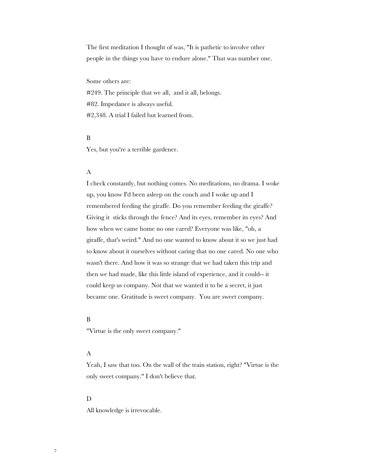The first meditation I thought of was, "It is pathetic to involve other people in the things you have to endure alone." That was number one.

Some others are:

#249. The principle that we all, and it all, belongs. #82. Impedance is always useful. #2,348. A trial I failed but learned from.

#### B

Yes, but you're a terrible gardener.

#### A

I check constantly, but nothing comes. No meditations, no drama. I woke up, you know I'd been asleep on the couch and I woke up and I remembered feeding the giraffe. Do you remember feeding the giraffe? Giving it sticks through the fence? And its eyes, remember its eyes? And how when we came home no one cared? Everyone was like, "oh, a giraffe, that's weird." And no one wanted to know about it so we just had to know about it ourselves without caring that no one cared. No one who wasn't there. And how it was so strange that we had taken this trip and then we had made, like this little island of experience, and it could-- it could keep us company. Not that we wanted it to be a secret, it just became one. Gratitude is sweet company. You are sweet company.

#### B

"Virtue is the only sweet company."

#### A

Yeah, I saw that too. On the wall of the train station, right? "Virtue is the only sweet company." I don't believe that.

#### D

All knowledge is irrevocable.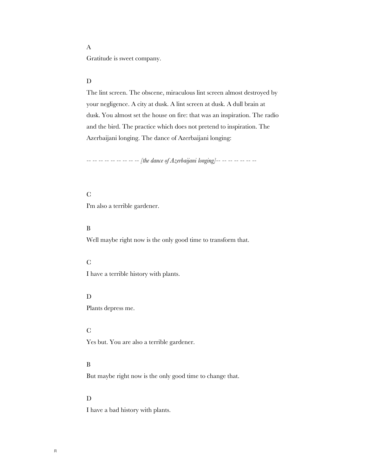## A

Gratitude is sweet company.

## D

The lint screen. The obscene, miraculous lint screen almost destroyed by your negligence. A city at dusk. A lint screen at dusk. A dull brain at dusk. You almost set the house on fire: that was an inspiration. The radio and the bird. The practice which does not pretend to inspiration. The Azerbaijani longing. The dance of Azerbaijani longing:

*-- -- -- -- -- -- -- -- -- [the dance of Azerbaijani longing]-- -- -- -- -- -- --*

#### C

I'm also a terrible gardener.

## B

Well maybe right now is the only good time to transform that.

### C

I have a terrible history with plants.

### ${\bf D}$

Plants depress me.

## C

Yes but. You are also a terrible gardener.

## B

But maybe right now is the only good time to change that.

#### D

I have a bad history with plants.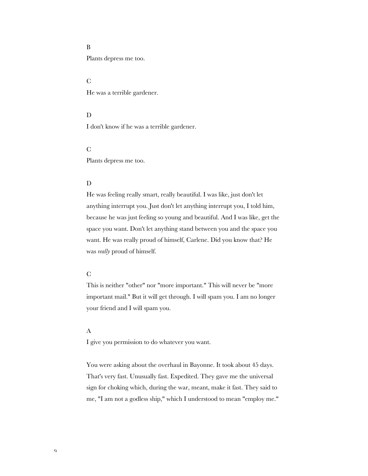## B

Plants depress me too.

#### C

He was a terrible gardener.

#### D

I don't know if he was a terrible gardener.

## C

Plants depress me too.

## D

He was feeling really smart, really beautiful. I was like, just don't let anything interrupt you. Just don't let anything interrupt you, I told him, because he was just feeling so young and beautiful. And I was like, get the space you want. Don't let anything stand between you and the space you want. He was really proud of himself, Carlene. Did you know that? He was *really* proud of himself.

### C

This is neither "other" nor "more important." This will never be "more important mail." But it will get through. I will spam you. I am no longer your friend and I will spam you.

#### A

I give you permission to do whatever you want.

You were asking about the overhaul in Bayonne. It took about 45 days. That's very fast. Unusually fast. Expedited. They gave me the universal sign for choking which, during the war, meant, make it fast. They said to me, "I am not a godless ship," which I understood to mean "employ me."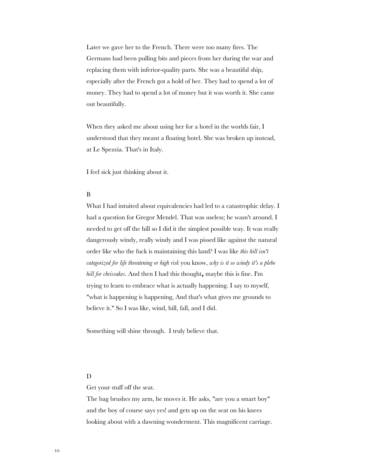Later we gave her to the French. There were too many fires. The Germans had been pulling bits and pieces from her during the war and replacing them with inferior-quality parts. She was a beautiful ship, especially after the French got a hold of her. They had to spend a lot of money. They had to spend a lot of money but it was worth it. She came out beautifully.

When they asked me about using her for a hotel in the worlds fair, I understood that they meant a floating hotel. She was broken up instead, at Le Spezzia. That's in Italy.

I feel sick just thinking about it.

#### B

What I had intuited about equivalencies had led to a catastrophic delay. I had a question for Gregor Mendel. That was useless; he wasn't around. I needed to get off the hill so I did it the simplest possible way. It was really dangerously windy, really windy and I was pissed like against the natural order like who the fuck is maintaining this land? I was like *this hill isn't categorized for life threatening or high risk* you know, *why is it so windy it's a plebe hill for chrissakes*. And then I had this thought**,** maybe this is fine. I'm trying to learn to embrace what is actually happening. I say to myself, "what is happening is happening, And that's what gives me grounds to believe it." So I was like, wind, hill, fall, and I did.

Something will shine through. I truly believe that.

#### D

Get your stuff off the seat.

The bag brushes my arm, he moves it. He asks, "are you a smart boy" and the boy of course says yes! and gets up on the seat on his knees looking about with a dawning wonderment. This magnificent carriage.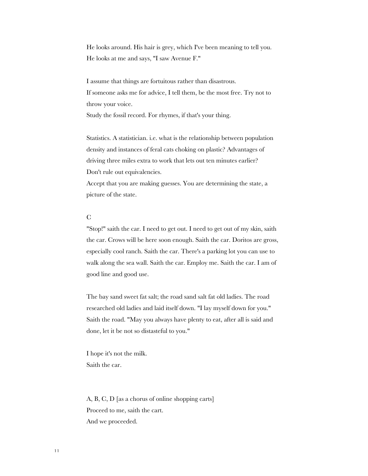He looks around. His hair is grey, which I've been meaning to tell you. He looks at me and says, "I saw Avenue F."

I assume that things are fortuitous rather than disastrous. If someone asks me for advice, I tell them, be the most free. Try not to throw your voice.

Study the fossil record. For rhymes, if that's your thing.

Statistics. A statistician. i.e. what is the relationship between population density and instances of feral cats choking on plastic? Advantages of driving three miles extra to work that lets out ten minutes earlier? Don't rule out equivalencies.

Accept that you are making guesses. You are determining the state, a picture of the state.

#### C

"Stop!" saith the car. I need to get out. I need to get out of my skin, saith the car. Crows will be here soon enough. Saith the car. Doritos are gross, especially cool ranch. Saith the car. There's a parking lot you can use to walk along the sea wall. Saith the car. Employ me. Saith the car. I am of good line and good use.

The bay sand sweet fat salt; the road sand salt fat old ladies. The road researched old ladies and laid itself down. "I lay myself down for you." Saith the road. "May you always have plenty to eat, after all is said and done, let it be not so distasteful to you."

I hope it's not the milk. Saith the car.

A, B, C, D [as a chorus of online shopping carts] Proceed to me, saith the cart. And we proceeded.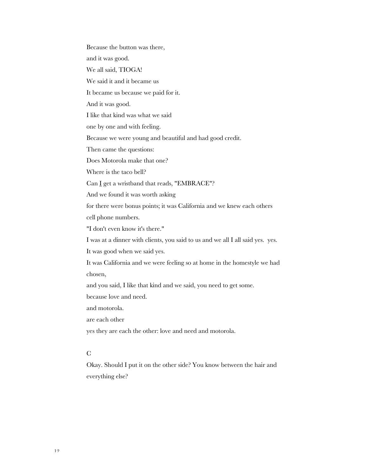Because the button was there, and it was good. We all said, TIOGA! We said it and it became us It became us because we paid for it. And it was good. I like that kind was what we said one by one and with feeling. Because we were young and beautiful and had good credit. Then came the questions: Does Motorola make that one? Where is the taco bell? Can I get a wristband that reads, "EMBRACE"? And we found it was worth asking for there were bonus points; it was California and we knew each others cell phone numbers. "I don't even know it's there." I was at a dinner with clients, you said to us and we all I all said yes. yes. It was good when we said yes. It was California and we were feeling so at home in the homestyle we had chosen, and you said, I like that kind and we said, you need to get some. because love and need. and motorola. are each other yes they are each the other: love and need and motorola. C Okay. Should I put it on the other side? You know between the hair and everything else?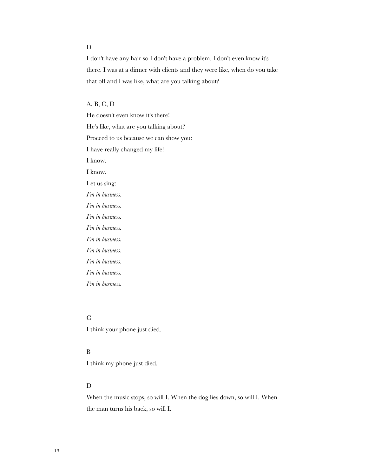## D

I don't have any hair so I don't have a problem. I don't even know it's there. I was at a dinner with clients and they were like, when do you take that off and I was like, what are you talking about?

## A, B, C, D

He doesn't even know it's there! He's like, what are you talking about? Proceed to us because we can show you: I have really changed my life! I know. I know. Let us sing: *I'm in business. I'm in business. I'm in business. I'm in business. I'm in business. I'm in business. I'm in business. I'm in business.*

*I'm in business.*

## C

I think your phone just died.

## B

I think my phone just died.

## D

When the music stops, so will I. When the dog lies down, so will I. When the man turns his back, so will I.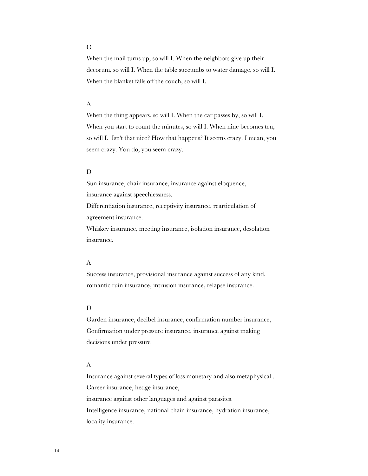## C

When the mail turns up, so will I. When the neighbors give up their decorum, so will I. When the table succumbs to water damage, so will I. When the blanket falls off the couch, so will I.

## A

When the thing appears, so will I. When the car passes by, so will I. When you start to count the minutes, so will I. When nine becomes ten, so will I. Isn't that nice? How that happens? It seems crazy. I mean, you seem crazy. You do, you seem crazy.

### D

Sun insurance, chair insurance, insurance against eloquence, insurance against speechlessness. Differentiation insurance, receptivity insurance, rearticulation of agreement insurance.

Whiskey insurance, meeting insurance, isolation insurance, desolation insurance.

### A

Success insurance, provisional insurance against success of any kind, romantic ruin insurance, intrusion insurance, relapse insurance.

#### D

Garden insurance, decibel insurance, confirmation number insurance, Confirmation under pressure insurance, insurance against making decisions under pressure

#### A

Insurance against several types of loss monetary and also metaphysical . Career insurance, hedge insurance, insurance against other languages and against parasites. Intelligence insurance, national chain insurance, hydration insurance, locality insurance.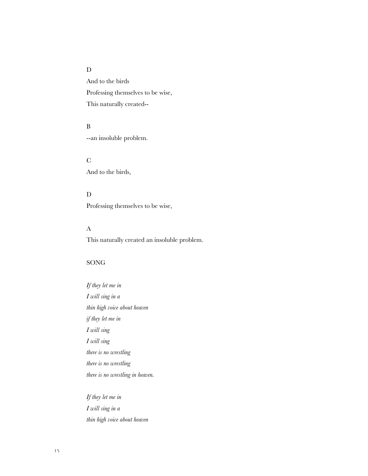## $\mathbf D$

And to the birds Professing themselves to be wise, This naturally created--

## B

--an insoluble problem.

#### C

And to the birds,

## D

Professing themselves to be wise,

## A

This naturally created an insoluble problem.

## SONG

*If they let me in I will sing in a thin high voice about heaven if they let me in I will sing I will sing there is no wrestling there is no wrestling there is no wrestling in heaven.*

*If they let me in I will sing in a thin high voice about heaven*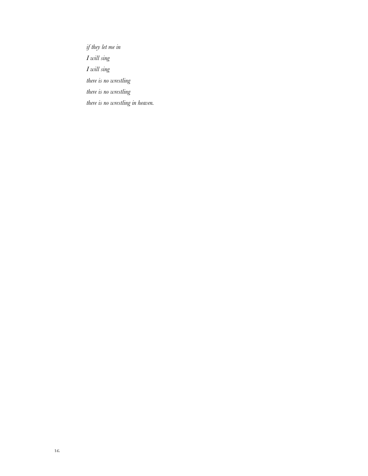*if they let me in I will sing I will sing there is no wrestling there is no wrestling there is no wrestling in heaven.*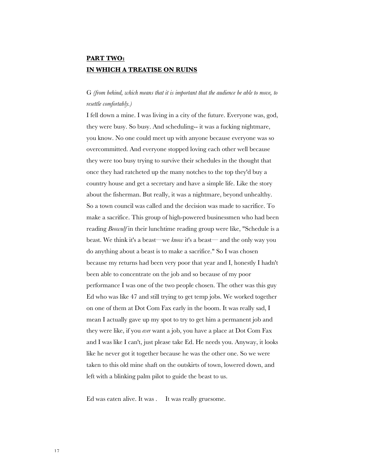## **PART TWO: IN WHICH A TREATISE ON RUINS**

## G *(from behind, which means that it is important that the audience be able to move, to resettle comfortably.)*

I fell down a mine. I was living in a city of the future. Everyone was, god, they were busy. So busy. And scheduling-- it was a fucking nightmare, you know. No one could meet up with anyone because everyone was so overcommitted. And everyone stopped loving each other well because they were too busy trying to survive their schedules in the thought that once they had ratcheted up the many notches to the top they'd buy a country house and get a secretary and have a simple life. Like the story about the fisherman. But really, it was a nightmare, beyond unhealthy. So a town council was called and the decision was made to sacrifice. To make a sacrifice. This group of high-powered businessmen who had been reading *Beowulf* in their lunchtime reading group were like, "Schedule is a beast. We think it's a beast—we *know* it's a beast— and the only way you do anything about a beast is to make a sacrifice." So I was chosen because my returns had been very poor that year and I, honestly I hadn't been able to concentrate on the job and so because of my poor performance I was one of the two people chosen. The other was this guy Ed who was like 47 and still trying to get temp jobs. We worked together on one of them at Dot Com Fax early in the boom. It was really sad, I mean I actually gave up my spot to try to get him a permanent job and they were like, if you *ever* want a job, you have a place at Dot Com Fax and I was like I can't, just please take Ed. He needs you. Anyway, it looks like he never got it together because he was the other one. So we were taken to this old mine shaft on the outskirts of town, lowered down, and left with a blinking palm pilot to guide the beast to us.

Ed was eaten alive. It was . It was really gruesome.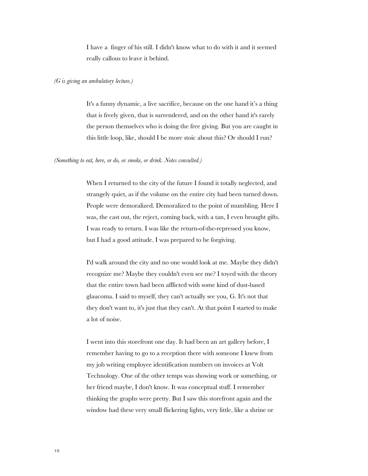I have a finger of his still. I didn't know what to do with it and it seemed really callous to leave it behind.

#### *(G is giving an ambulatory lecture.)*

It's a funny dynamic, a live sacrifice, because on the one hand it's a thing that is freely given, that is surrendered, and on the other hand it's rarely the person themselves who is doing the free giving. But you are caught in this little loop, like, should I be more stoic about this? Or should I run?

#### *(Something to eat, here, or do, or smoke, or drink. Notes consulted.)*

When I returned to the city of the future I found it totally neglected, and strangely quiet, as if the volume on the entire city had been turned down. People were demoralized. Demoralized to the point of mumbling. Here I was, the cast out, the reject, coming back, with a tan, I even brought gifts. I was ready to return. I was like the return-of-the-repressed you know, but I had a good attitude. I was prepared to be forgiving.

I'd walk around the city and no one would look at me. Maybe they didn't recognize me? Maybe they couldn't even see me? I toyed with the theory that the entire town had been afflicted with some kind of dust-based glaucoma. I said to myself, they can't actually see you, G. It's not that they don't want to, it's just that they can't. At that point I started to make a lot of noise.

I went into this storefront one day. It had been an art gallery before, I remember having to go to a reception there with someone I knew from my job writing employee identification numbers on invoices at Volt Technology. One of the other temps was showing work or something, or her friend maybe, I don't know. It was conceptual stuff. I remember thinking the graphs were pretty. But I saw this storefront again and the window had these very small flickering lights, very little, like a shrine or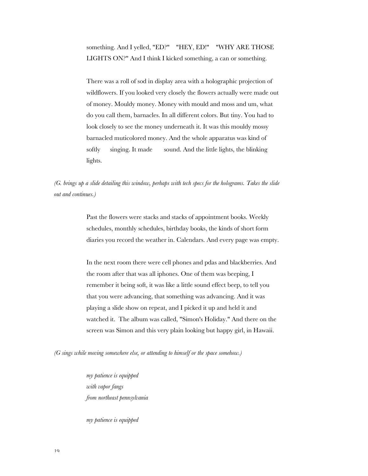something. And I yelled, "ED?" "HEY, ED!" "WHY ARE THOSE LIGHTS ON?" And I think I kicked something, a can or something.

There was a roll of sod in display area with a holographic projection of wildflowers. If you looked very closely the flowers actually were made out of money. Mouldy money. Money with mould and moss and um, what do you call them, barnacles. In all different colors. But tiny. You had to look closely to see the money underneath it. It was this mouldy mossy barnacled muticolored money. And the whole apparatus was kind of softly singing. It made sound. And the little lights, the blinking lights.

*(G. brings up a slide detailing this window, perhaps with tech specs for the holograms. Takes the slide out and continues.)*

> Past the flowers were stacks and stacks of appointment books. Weekly schedules, monthly schedules, birthday books, the kinds of short form diaries you record the weather in. Calendars. And every page was empty.

> In the next room there were cell phones and pdas and blackberries. And the room after that was all iphones. One of them was beeping, I remember it being soft, it was like a little sound effect beep, to tell you that you were advancing, that something was advancing. And it was playing a slide show on repeat, and I picked it up and held it and watched it. The album was called, "Simon's Holiday." And there on the screen was Simon and this very plain looking but happy girl, in Hawaii.

*(G sings while moving somewhere else, or attending to himself or the space somehow.)*

*my patience is equipped with vapor fangs from northeast pennsylvania*

*my patience is equipped*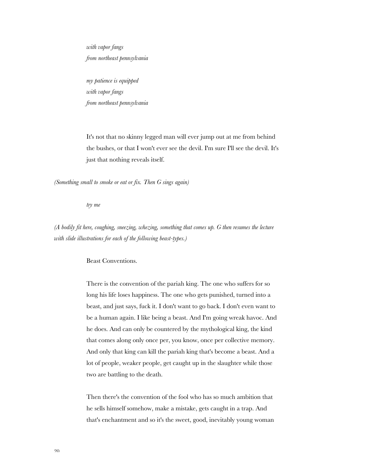*with vapor fangs from northeast pennsylvania*

*my patience is equipped with vapor fangs from northeast pennsylvania*

It's not that no skinny legged man will ever jump out at me from behind the bushes, or that I won't ever see the devil. I'm sure I'll see the devil. It's just that nothing reveals itself.

*(Something small to smoke or eat or fix. Then G sings again)*

*try me*

*(A bodily fit here, coughing, sneezing, whezing, something that comes up. G then resumes the lecture with slide illustrations for each of the following beast-types.)*

Beast Conventions.

There is the convention of the pariah king. The one who suffers for so long his life loses happiness. The one who gets punished, turned into a beast, and just says, fuck it. I don't want to go back. I don't even want to be a human again. I like being a beast. And I'm going wreak havoc. And he does. And can only be countered by the mythological king, the kind that comes along only once per, you know, once per collective memory. And only that king can kill the pariah king that's become a beast. And a lot of people, weaker people, get caught up in the slaughter while those two are battling to the death.

Then there's the convention of the fool who has so much ambition that he sells himself somehow, make a mistake, gets caught in a trap. And that's enchantment and so it's the sweet, good, inevitably young woman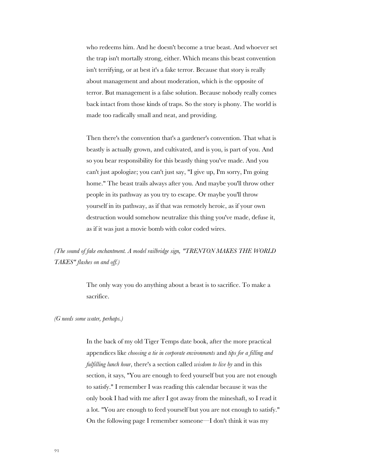who redeems him. And he doesn't become a true beast. And whoever set the trap isn't mortally strong, either. Which means this beast convention isn't terrifying, or at best it's a fake terror. Because that story is really about management and about moderation, which is the opposite of terror. But management is a false solution. Because nobody really comes back intact from those kinds of traps. So the story is phony. The world is made too radically small and neat, and providing.

Then there's the convention that's a gardener's convention. That what is beastly is actually grown, and cultivated, and is you, is part of you. And so you bear responsibility for this beastly thing you've made. And you can't just apologize; you can't just say, "I give up, I'm sorry, I'm going home." The beast trails always after you. And maybe you'll throw other people in its pathway as you try to escape. Or maybe you'll throw yourself in its pathway, as if that was remotely heroic, as if your own destruction would somehow neutralize this thing you've made, defuse it, as if it was just a movie bomb with color coded wires.

*(The sound of fake enchantment. A model railbridge sign, "TRENTON MAKES THE WORLD TAKES" flashes on and off.)*

> The only way you do anything about a beast is to sacrifice. To make a sacrifice.

#### *(G needs some water, perhaps.)*

In the back of my old Tiger Temps date book, after the more practical appendices like *choosing a tie in corporate environments* and *tips for a filling and fulfilling lunch hour*, there's a section called *wisdom to live by* and in this section, it says, "You are enough to feed yourself but you are not enough to satisfy." I remember I was reading this calendar because it was the only book I had with me after I got away from the mineshaft, so I read it a lot. "You are enough to feed yourself but you are not enough to satisfy." On the following page I remember someone—I don't think it was my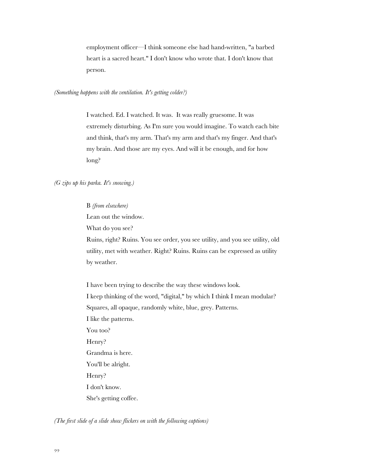employment officer—I think someone else had hand-written, "a barbed heart is a sacred heart." I don't know who wrote that. I don't know that person.

*(Something happens with the ventilation. It's getting colder?)*

I watched. Ed. I watched. It was. It was really gruesome. It was extremely disturbing. As I'm sure you would imagine. To watch each bite and think, that's my arm. That's my arm and that's my finger. And that's my brain. And those are my eyes. And will it be enough, and for how long?

#### *(G zips up his parka. It's snowing.)*

#### B *(from elsewhere)*

Lean out the window.

What do you see?

Ruins, right? Ruins. You see order, you see utility, and you see utility, old utility, met with weather. Right? Ruins. Ruins can be expressed as utility by weather.

I have been trying to describe the way these windows look. I keep thinking of the word, "digital," by which I think I mean modular? Squares, all opaque, randomly white, blue, grey. Patterns. I like the patterns. You too? Henry? Grandma is here. You'll be alright. Henry? I don't know. She's getting coffee.

*(The first slide of a slide show flickers on with the following captions)*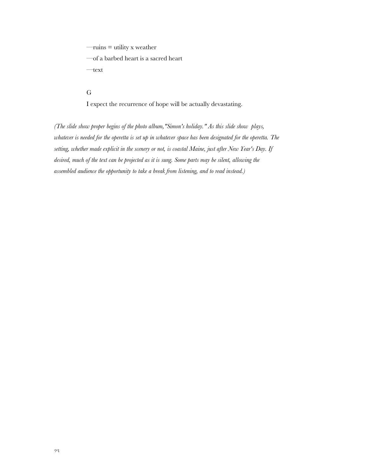$-\text{ruins} = \text{utility} \times \text{weather}$ 

—of a barbed heart is a sacred heart

—text

#### G

I expect the recurrence of hope will be actually devastating.

*(The slide show proper begins of the photo album,"Simon's holiday." As this slide show plays, whatever is needed for the operetta is set up in whatever space has been designated for the operetta. The setting, whether made explicit in the scenery or not, is coastal Maine, just after New Year's Day. If desired, much of the text can be projected as it is sung. Some parts may be silent, allowing the assembled audience the opportunity to take a break from listening, and to read instead.)*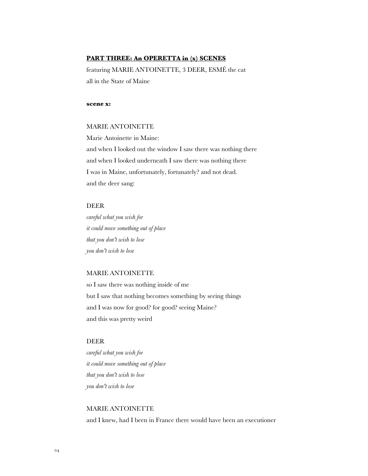## **PART THREE: An OPERETTA in (x) SCENES**

featuring MARIE ANTOINETTE, 3 DEER, ESMÉ the cat all in the State of Maine

#### **scene x:**

### MARIE ANTOINETTE

Marie Antoinette in Maine: and when I looked out the window I saw there was nothing there and when I looked underneath I saw there was nothing there I was in Maine, unfortunately, fortunately? and not dead. and the deer sang:

## DEER

*careful what you wish for it could move something out of place that you don't wish to lose you don't wish to lose*

#### MARIE ANTOINETTE

so I saw there was nothing inside of me but I saw that nothing becomes something by seeing things and I was now for good? for good? seeing Maine? and this was pretty weird

## DEER

*careful what you wish for it could move something out of place that you don't wish to lose you don't wish to lose*

## MARIE ANTOINETTE

and I knew, had I been in France there would have been an executioner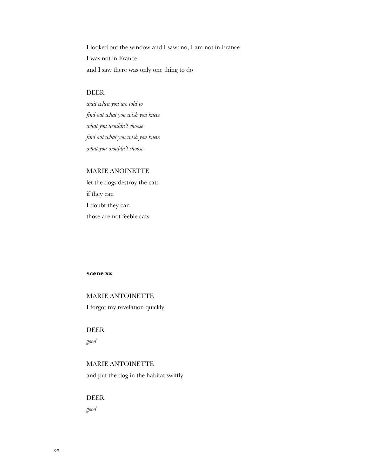I looked out the window and I saw: no, I am not in France I was not in France and I saw there was only one thing to do

## DEER

*wait when you are told to find out what you wish you knew what you wouldn't choose find out what you wish you knew what you wouldn't choose*

## MARIE ANOINETTE

let the dogs destroy the cats if they can I doubt they can those are not feeble cats

#### **scene xx**

MARIE ANTOINETTE I forgot my revelation quickly

DEER

*good*

## MARIE ANTOINETTE and put the dog in the habitat swiftly

DEER

*good*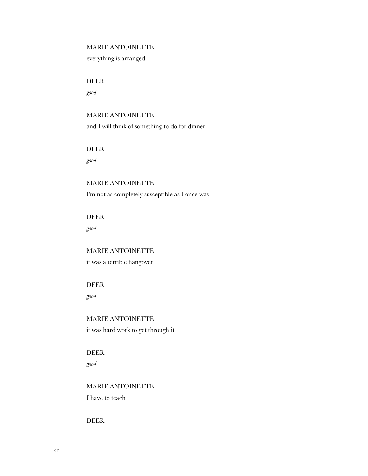## MARIE ANTOINETTE

everything is arranged

## DEER

*good*

## MARIE ANTOINETTE

and I will think of something to do for dinner

## DEER

*good*

# MARIE ANTOINETTE

I'm not as completely susceptible as I once was

## DEER

*good*

## MARIE ANTOINETTE

it was a terrible hangover

## DEER

*good*

## MARIE ANTOINETTE

it was hard work to get through it

## DEER

*good*

## MARIE ANTOINETTE

I have to teach

### DEER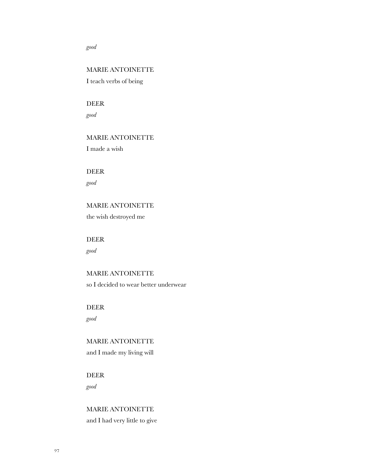#### *good*

## MARIE ANTOINETTE

I teach verbs of being

## DEER

*good*

## MARIE ANTOINETTE

I made a wish

## DEER

*good*

# MARIE ANTOINETTE

the wish destroyed me

# DEER

*good*

## MARIE ANTOINETTE so I decided to wear better underwear

# DEER

*good*

# MARIE ANTOINETTE

and I made my living will

## DEER *good*

MARIE ANTOINETTE and I had very little to give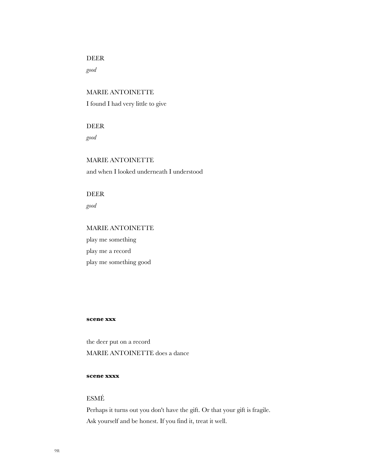## DEER

*good*

MARIE ANTOINETTE I found I had very little to give

DEER

*good*

MARIE ANTOINETTE and when I looked underneath I understood

DEER

*good*

## MARIE ANTOINETTE

play me something play me a record play me something good

#### **scene xxx**

the deer put on a record MARIE ANTOINETTE does a dance

### **scene xxxx**

## ESMÉ

Perhaps it turns out you don't have the gift. Or that your gift is fragile. Ask yourself and be honest. If you find it, treat it well.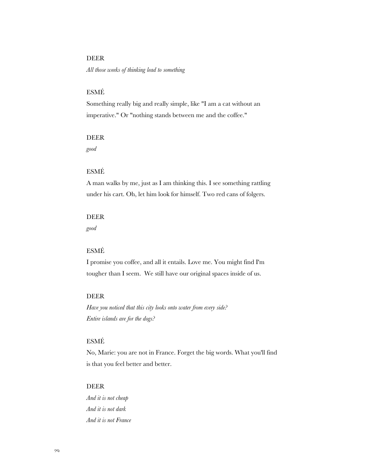## DEER

*All those weeks of thinking lead to something*

## ESMÉ

Something really big and really simple, like "I am a cat without an imperative." Or "nothing stands between me and the coffee."

#### DEER

*good*

## ESMÉ

A man walks by me, just as I am thinking this. I see something rattling under his cart. Oh, let him look for himself. Two red cans of folgers.

#### DEER

*good*

## ESMÉ

I promise you coffee, and all it entails. Love me. You might find I'm tougher than I seem. We still have our original spaces inside of us.

## DEER

*Have you noticed that this city looks onto water from every side? Entire islands are for the dogs?*

## ESMÉ

No, Marie: you are not in France. Forget the big words. What you'll find is that you feel better and better.

## DEER

*And it is not cheap And it is not dark And it is not France*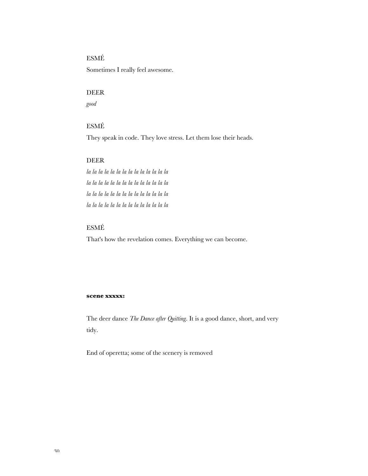## ESMÉ

Sometimes I really feel awesome.

## DEER

*good*

## ESMÉ

They speak in code. They love stress. Let them lose their heads.

#### DEER

*la la la la la la la la la la la la la la la la la la la la la la la la la la la la la la la la la la la la la la la la la la la la la la la la la la la la la la la la*

## ESMÉ

That's how the revelation comes. Everything we can become.

#### **scene xxxxx:**

The deer dance *The Dance after Quitting*. It is a good dance, short, and very tidy.

End of operetta; some of the scenery is removed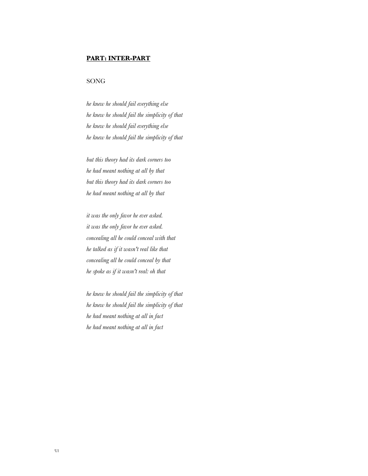#### **PART: INTER-PART**

#### SONG

*he knew he should fail everything else he knew he should fail the simplicity of that he knew he should fail everything else he knew he should fail the simplicity of that*

*but this theory had its dark corners too he had meant nothing at all by that but this theory had its dark corners too he had meant nothing at all by that*

*it was the only favor he ever asked. it was the only favor he ever asked. concealing all he could conceal with that he talked as if it wasn't real like that concealing all he could conceal by that he spoke as if it wasn't real: oh that*

*he knew he should fail the simplicity of that he knew he should fail the simplicity of that he had meant nothing at all in fact he had meant nothing at all in fact*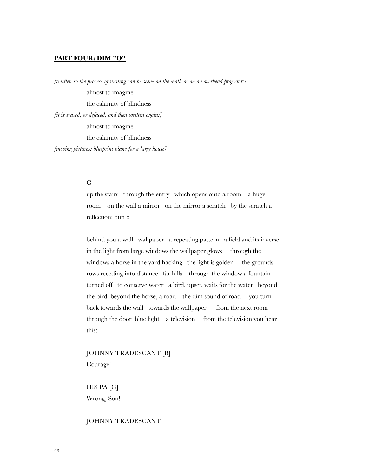#### **PART FOUR: DIM "O"**

*[written so the process of writing can be seen- on the wall, or on an overhead projector:]* almost to imagine the calamity of blindness *[it is erased, or defaced, and then written again:]* almost to imagine the calamity of blindness *[moving pictures: blueprint plans for a large house]*

## $\overline{C}$

up the stairs through the entry which opens onto a room a huge room on the wall a mirror on the mirror a scratch by the scratch a reflection: dim o

behind you a wall wallpaper a repeating pattern a field and its inverse in the light from large windows the wallpaper glows through the windows a horse in the yard hacking the light is golden the grounds rows receding into distance far hills through the window a fountain turned off to conserve water a bird, upset, waits for the water beyond the bird, beyond the horse, a road the dim sound of road you turn back towards the wall towards the wallpaper from the next room through the door blue light a television from the television you hear this:

## JOHNNY TRADESCANT [B] Courage!

HIS PA [G] Wrong, Son!

#### JOHNNY TRADESCANT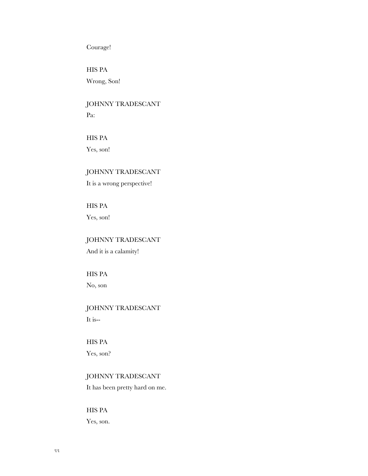## Courage!

HIS PA Wrong, Son!

## JOHNNY TRADESCANT Pa:

HIS PA

Yes, son!

## JOHNNY TRADESCANT

It is a wrong perspective!

HIS PA Yes, son!

## JOHNNY TRADESCANT

And it is a calamity!

HIS PA No, son

# JOHNNY TRADESCANT

It is--

## HIS PA

Yes, son?

## JOHNNY TRADESCANT

It has been pretty hard on me.

HIS PA Yes, son.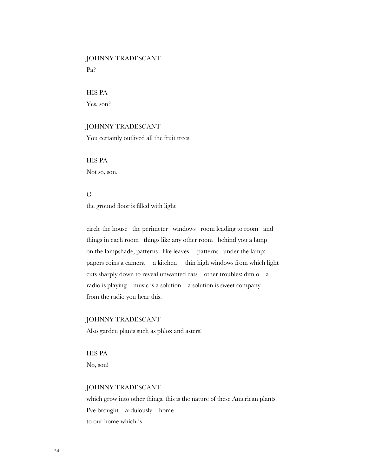# JOHNNY TRADESCANT

Pa?

HIS PA

Yes, son?

## JOHNNY TRADESCANT

You certainly outlived all the fruit trees!

HIS PA Not so, son.

## C

the ground floor is filled with light

circle the house the perimeter windows room leading to room and things in each room things like any other room behind you a lamp on the lampshade, patterns like leaves patterns under the lamp: papers coins a camera a kitchen thin high windows from which light cuts sharply down to reveal unwanted cats other troubles: dim o a radio is playing music is a solution a solution is sweet company from the radio you hear this:

#### JOHNNY TRADESCANT

Also garden plants such as phlox and asters!

HIS PA No, son!

#### JOHNNY TRADESCANT

which grow into other things, this is the nature of these American plants I've brought—ardulously—home to our home which is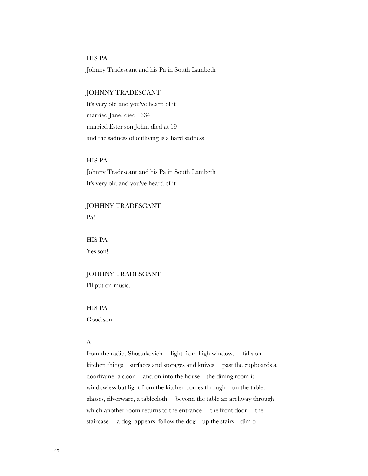### HIS PA

Johnny Tradescant and his Pa in South Lambeth

## JOHNNY TRADESCANT

It's very old and you've heard of it married Jane. died 1634 married Ester son John, died at 19 and the sadness of outliving is a hard sadness

#### HIS PA

Johnny Tradescant and his Pa in South Lambeth It's very old and you've heard of it

## JOHHNY TRADESCANT Pa!

HIS PA Yes son!

## JOHHNY TRADESCANT

I'll put on music.

HIS PA Good son.

## A

from the radio, Shostakovich light from high windows falls on kitchen things surfaces and storages and knives past the cupboards a doorframe, a door and on into the house the dining room is windowless but light from the kitchen comes through on the table: glasses, silverware, a tablecloth beyond the table an archway through which another room returns to the entrance the front door the staircase a dog appears follow the dog up the stairs dim o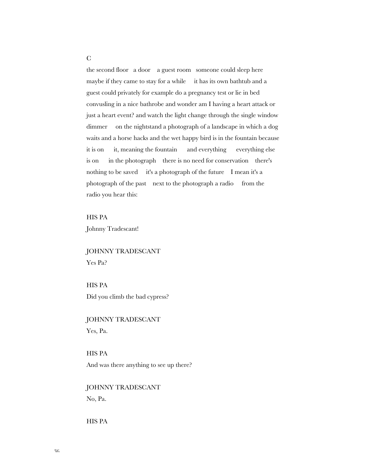the second floor a door a guest room someone could sleep here maybe if they came to stay for a while it has its own bathtub and a guest could privately for example do a pregnancy test or lie in bed convusling in a nice bathrobe and wonder am I having a heart attack or just a heart event? and watch the light change through the single window dimmer on the nightstand a photograph of a landscape in which a dog waits and a horse hacks and the wet happy bird is in the fountain because it is on it, meaning the fountain and everything everything else is on in the photograph there is no need for conservation there's nothing to be saved it's a photograph of the future I mean it's a photograph of the past next to the photograph a radio from the radio you hear this:

HIS PA

Johnny Tradescant!

JOHNNY TRADESCANT Yes Pa?

HIS PA Did you climb the bad cypress?

JOHNNY TRADESCANT Yes, Pa.

HIS PA And was there anything to see up there?

JOHNNY TRADESCANT No, Pa.

HIS PA

C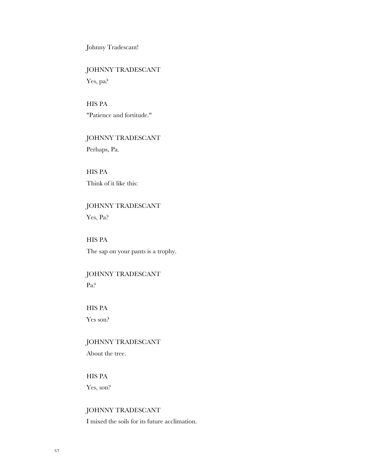Johnny Tradescant!

## JOHNNY TRADESCANT

Yes, pa?

## HIS PA "Patience and fortitude."

# JOHNNY TRADESCANT

Perhaps, Pa.

HIS PA Think of it like this:

## JOHNNY TRADESCANT Yes, Pa?

HIS PA The sap on your pants is a trophy.

## JOHNNY TRADESCANT Pa?

HIS PA Yes son?

## JOHNNY TRADESCANT About the tree.

## HIS PA Yes, son?

JOHNNY TRADESCANT I mixed the soils for its future acclimation.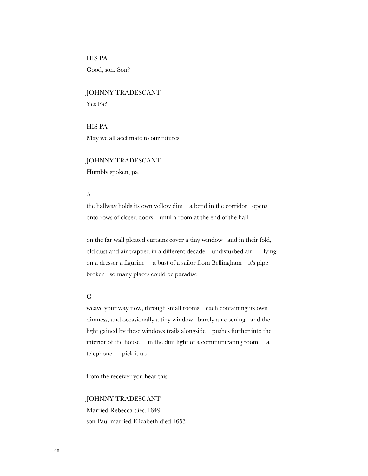HIS PA

Good, son. Son?

JOHNNY TRADESCANT Yes Pa?

HIS PA May we all acclimate to our futures

JOHNNY TRADESCANT Humbly spoken, pa.

## A

the hallway holds its own yellow dim a bend in the corridor opens onto rows of closed doors until a room at the end of the hall

on the far wall pleated curtains cover a tiny window and in their fold, old dust and air trapped in a different decade undisturbed air lying on a dresser a figurine a bust of a sailor from Bellingham it's pipe broken so many places could be paradise

#### C

weave your way now, through small rooms each containing its own dimness, and occasionally a tiny window barely an opening and the light gained by these windows trails alongside pushes further into the interior of the house in the dim light of a communicating room a telephone pick it up

from the receiver you hear this:

#### JOHNNY TRADESCANT

Married Rebecca died 1649 son Paul married Elizabeth died 1653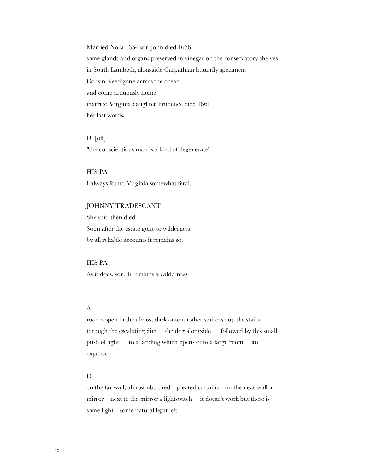Married Nora 1654 son John died 1656 some glands and organs preserved in vinegar on the conservatory shelves in South Lambeth, alonsgide Carpathian butterfly specimens Cousin Reed gone across the ocean and come arduously home married Virginia daughter Prudence died 1661 her last words,

D [off] "the conscientious man is a kind of degenerate"

HIS PA I always found Virginia somewhat feral.

#### JOHNNY TRADESCANT

She spit, then died. Soon after the estate gone to wilderness by all reliable accounts it remains so.

HIS PA

As it does, son. It remains a wilderness.

#### A

rooms open in the almost dark onto another staircase up the stairs through the escalating dim the dog alongside followed by this small push of light to a landing which opens onto a large room an expanse

#### C

on the far wall, almost obscured pleated curtains on the near wall a mirror next to the mirror a lightswitch it doesn't work but there is some light some natural light left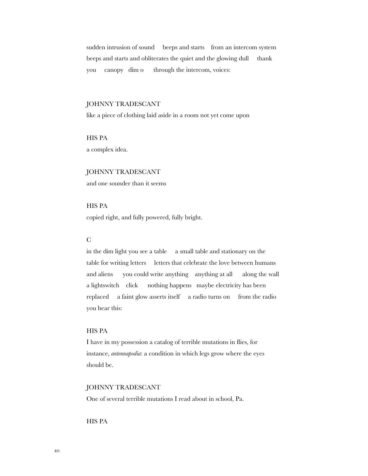sudden intrusion of sound beeps and starts from an intercom system beeps and starts and obliterates the quiet and the glowing dull thank you canopy dim o through the intercom, voices:

#### JOHNNY TRADESCANT

like a piece of clothing laid aside in a room not yet come upon

HIS PA

a complex idea.

JOHNNY TRADESCANT and one sounder than it seems

### HIS PA

copied right, and fully powered, fully bright.

#### $\Gamma$

in the dim light you see a table a small table and stationary on the table for writing letters letters that celebrate the love between humans and aliens you could write anything anything at all along the wall a lightswitch click nothing happens maybe electricity has been replaced a faint glow asserts itself a radio turns on from the radio you hear this:

#### HIS PA

I have in my possession a catalog of terrible mutations in flies, for instance, *antennapodia*: a condition in which legs grow where the eyes should be.

#### JOHNNY TRADESCANT

One of several terrible mutations I read about in school, Pa.

HIS PA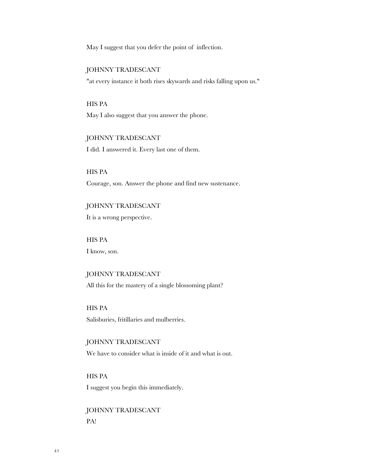May I suggest that you defer the point of inflection.

#### JOHNNY TRADESCANT

"at every instance it both rises skywards and risks falling upon us."

## HIS PA

May I also suggest that you answer the phone.

#### JOHNNY TRADESCANT

I did. I answered it. Every last one of them.

HIS PA Courage, son. Answer the phone and find new sustenance.

JOHNNY TRADESCANT It is a wrong perspective.

HIS PA I know, son.

JOHNNY TRADESCANT All this for the mastery of a single blossoming plant?

HIS PA Salisburies, fritillaries and mulberries.

JOHNNY TRADESCANT We have to consider what is inside of it and what is out.

HIS PA I suggest you begin this immediately.

JOHNNY TRADESCANT PA!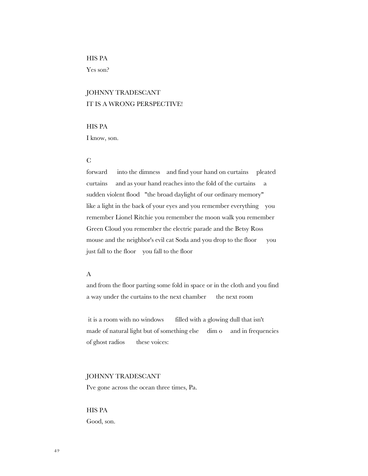## HIS PA

Yes son?

## JOHNNY TRADESCANT IT IS A WRONG PERSPECTIVE!

## HIS PA

I know, son.

### $\mathcal{C}$

forward into the dimness and find your hand on curtains pleated curtains and as your hand reaches into the fold of the curtains a sudden violent flood "the broad daylight of our ordinary memory" like a light in the back of your eyes and you remember everything you remember Lionel Ritchie you remember the moon walk you remember Green Cloud you remember the electric parade and the Betsy Ross mouse and the neighbor's evil cat Soda and you drop to the floor you just fall to the floor you fall to the floor

## A

and from the floor parting some fold in space or in the cloth and you find a way under the curtains to the next chamber the next room

 it is a room with no windows filled with a glowing dull that isn't made of natural light but of something else dim o and in frequencies of ghost radios these voices:

#### JOHNNY TRADESCANT

I've gone across the ocean three times, Pa.

## HIS PA Good, son.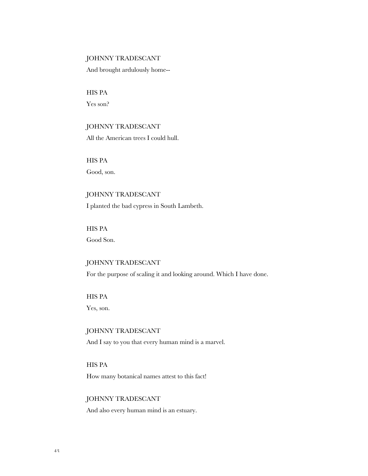#### JOHNNY TRADESCANT

And brought ardulously home--

HIS PA Yes son?

### JOHNNY TRADESCANT

All the American trees I could hull.

HIS PA Good, son.

JOHNNY TRADESCANT I planted the bad cypress in South Lambeth.

HIS PA Good Son.

## JOHNNY TRADESCANT

For the purpose of scaling it and looking around. Which I have done.

HIS PA

Yes, son.

JOHNNY TRADESCANT And I say to you that every human mind is a marvel.

HIS PA How many botanical names attest to this fact!

#### JOHNNY TRADESCANT

And also every human mind is an estuary.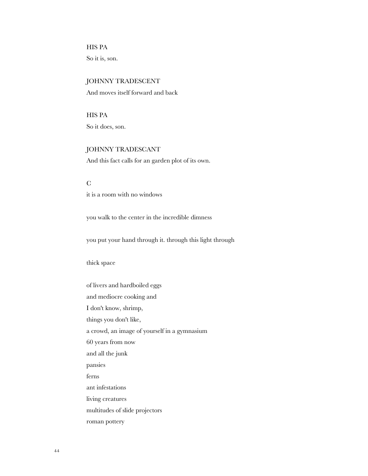HIS PA So it is, son.

### JOHNNY TRADESCENT

And moves itself forward and back

HIS PA So it does, son.

## JOHNNY TRADESCANT

And this fact calls for an garden plot of its own.

 $\mathcal{C}$ 

it is a room with no windows

you walk to the center in the incredible dimness

you put your hand through it. through this light through

thick space

of livers and hardboiled eggs and mediocre cooking and I don't know, shrimp, things you don't like, a crowd, an image of yourself in a gymnasium 60 years from now and all the junk pansies ferns ant infestations living creatures multitudes of slide projectors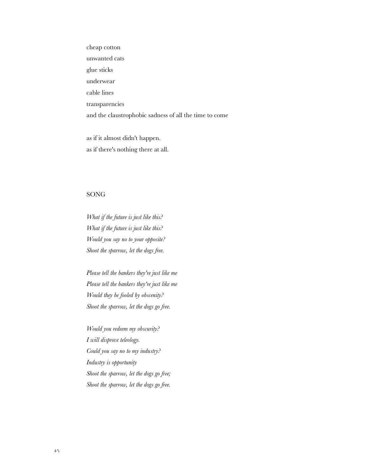cheap cotton unwanted cats glue sticks underwear cable lines transparencies and the claustrophobic sadness of all the time to come

as if it almost didn't happen. as if there's nothing there at all.

#### SONG

*What if the future is just like this? What if the future is just like this? Would you say no to your opposite? Shoot the sparrow, let the dogs free.*

*Please tell the bankers they're just like me Please tell the bankers they're just like me Would they be fooled by obscenity? Shoot the sparrow, let the dogs go free.*

*Would you redeem my obscurity? I will disprove teleology. Could you say no to my industry? Industry is opportunity Shoot the sparrow, let the dogs go free; Shoot the sparrow, let the dogs go free.*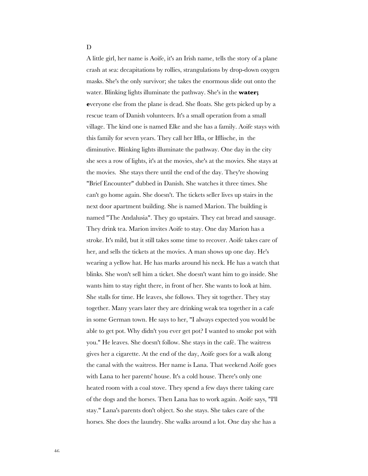D

A little girl, her name is Aoife, it's an Irish name, tells the story of a plane crash at sea: decapitations by rollies, strangulations by drop-down oxygen masks. She's the only survivor; she takes the enormous slide out onto the water. Blinking lights illuminate the pathway. She's in the **water; e**veryone else from the plane is dead. She floats. She gets picked up by a rescue team of Danish volunteers. It's a small operation from a small village. The kind one is named Elke and she has a family. Aoife stays with this family for seven years. They call her Iffla, or Ifflische, in the diminutive. Blinking lights illuminate the pathway. One day in the city she sees a row of lights, it's at the movies, she's at the movies. She stays at the movies. She stays there until the end of the day. They're showing "Brief Encounter" dubbed in Danish. She watches it three times. She can't go home again. She doesn't. The tickets seller lives up stairs in the next door apartment building. She is named Marion. The building is named "The Andalusia". They go upstairs. They eat bread and sausage. They drink tea. Marion invites Aoife to stay. One day Marion has a stroke. It's mild, but it still takes some time to recover. Aoife takes care of her, and sells the tickets at the movies. A man shows up one day. He's wearing a yellow hat. He has marks around his neck. He has a watch that blinks. She won't sell him a ticket. She doesn't want him to go inside. She wants him to stay right there, in front of her. She wants to look at him. She stalls for time. He leaves, she follows. They sit together. They stay together. Many years later they are drinking weak tea together in a cafe in some German town. He says to her, "I always expected you would be able to get pot. Why didn't you ever get pot? I wanted to smoke pot with you." He leaves. She doesn't follow. She stays in the café. The waitress gives her a cigarette. At the end of the day, Aoife goes for a walk along the canal with the waitress. Her name is Lana. That weekend Aoife goes with Lana to her parents' house. It's a cold house. There's only one heated room with a coal stove. They spend a few days there taking care of the dogs and the horses. Then Lana has to work again. Aoife says, "I'll stay." Lana's parents don't object. So she stays. She takes care of the horses. She does the laundry. She walks around a lot. One day she has a